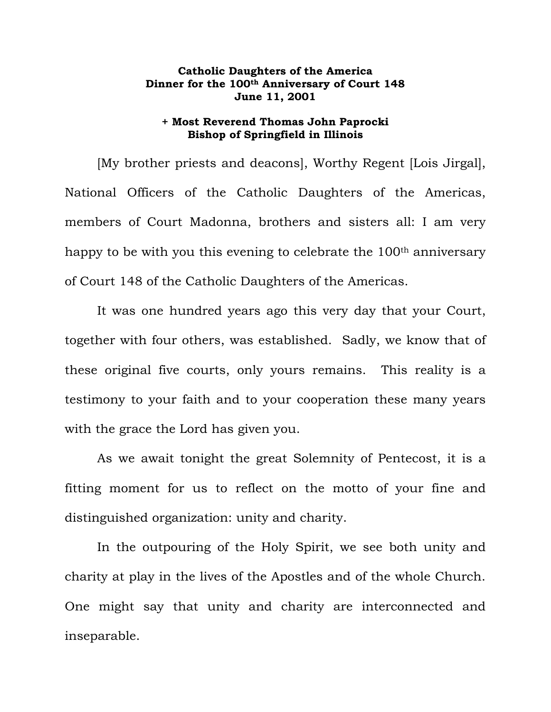## **Catholic Daughters of the America Dinner for the 100th Anniversary of Court 148 June 11, 2001**

## **+ Most Reverend Thomas John Paprocki Bishop of Springfield in Illinois**

[My brother priests and deacons], Worthy Regent [Lois Jirgal], National Officers of the Catholic Daughters of the Americas, members of Court Madonna, brothers and sisters all: I am very happy to be with you this evening to celebrate the 100<sup>th</sup> anniversary of Court 148 of the Catholic Daughters of the Americas.

It was one hundred years ago this very day that your Court, together with four others, was established. Sadly, we know that of these original five courts, only yours remains. This reality is a testimony to your faith and to your cooperation these many years with the grace the Lord has given you.

As we await tonight the great Solemnity of Pentecost, it is a fitting moment for us to reflect on the motto of your fine and distinguished organization: unity and charity.

In the outpouring of the Holy Spirit, we see both unity and charity at play in the lives of the Apostles and of the whole Church. One might say that unity and charity are interconnected and inseparable.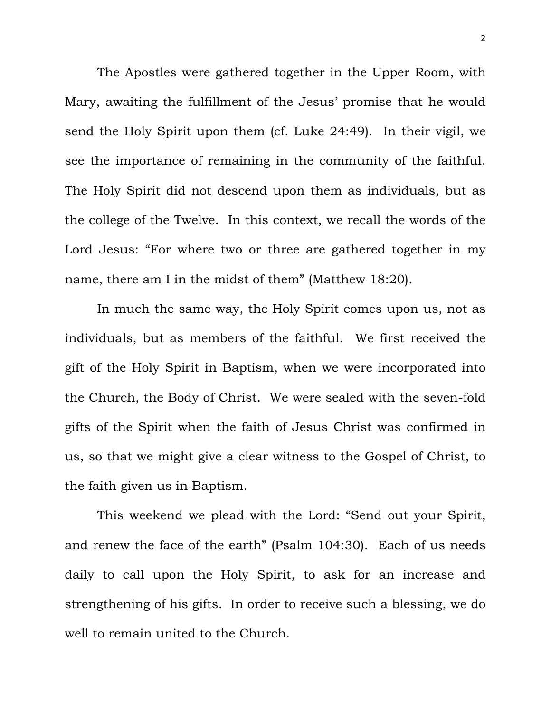The Apostles were gathered together in the Upper Room, with Mary, awaiting the fulfillment of the Jesus' promise that he would send the Holy Spirit upon them (cf. Luke 24:49). In their vigil, we see the importance of remaining in the community of the faithful. The Holy Spirit did not descend upon them as individuals, but as the college of the Twelve. In this context, we recall the words of the Lord Jesus: "For where two or three are gathered together in my name, there am I in the midst of them" (Matthew 18:20).

In much the same way, the Holy Spirit comes upon us, not as individuals, but as members of the faithful. We first received the gift of the Holy Spirit in Baptism, when we were incorporated into the Church, the Body of Christ. We were sealed with the seven-fold gifts of the Spirit when the faith of Jesus Christ was confirmed in us, so that we might give a clear witness to the Gospel of Christ, to the faith given us in Baptism.

This weekend we plead with the Lord: "Send out your Spirit, and renew the face of the earth" (Psalm 104:30). Each of us needs daily to call upon the Holy Spirit, to ask for an increase and strengthening of his gifts. In order to receive such a blessing, we do well to remain united to the Church.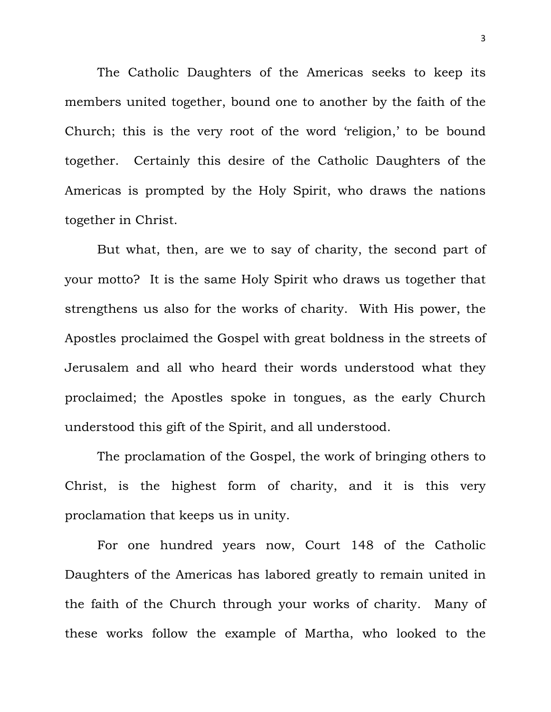The Catholic Daughters of the Americas seeks to keep its members united together, bound one to another by the faith of the Church; this is the very root of the word 'religion,' to be bound together. Certainly this desire of the Catholic Daughters of the Americas is prompted by the Holy Spirit, who draws the nations together in Christ.

But what, then, are we to say of charity, the second part of your motto? It is the same Holy Spirit who draws us together that strengthens us also for the works of charity. With His power, the Apostles proclaimed the Gospel with great boldness in the streets of Jerusalem and all who heard their words understood what they proclaimed; the Apostles spoke in tongues, as the early Church understood this gift of the Spirit, and all understood.

The proclamation of the Gospel, the work of bringing others to Christ, is the highest form of charity, and it is this very proclamation that keeps us in unity.

For one hundred years now, Court 148 of the Catholic Daughters of the Americas has labored greatly to remain united in the faith of the Church through your works of charity. Many of these works follow the example of Martha, who looked to the